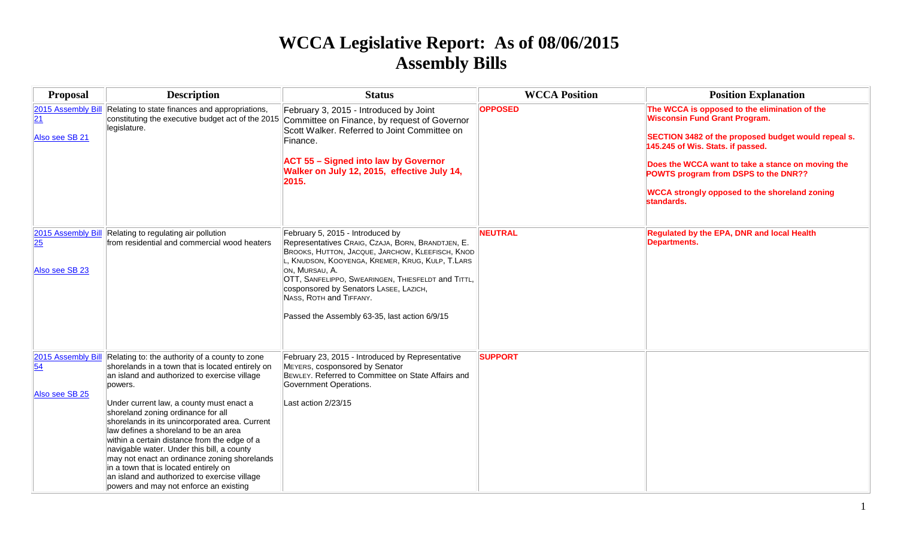# **WCCA Legislative Report: As of 08/06/2015 Assembly Bills**

| <b>Proposal</b>                                         | <b>Description</b>                                                                                                                                                                                                                                                                                                                                                                                                                                                                                                                                                                                                          | <b>Status</b>                                                                                                                                                                                                                                                                                                                                                                              | <b>WCCA Position</b> | <b>Position Explanation</b>                                                                                                                                                                                                                                                                                                                          |
|---------------------------------------------------------|-----------------------------------------------------------------------------------------------------------------------------------------------------------------------------------------------------------------------------------------------------------------------------------------------------------------------------------------------------------------------------------------------------------------------------------------------------------------------------------------------------------------------------------------------------------------------------------------------------------------------------|--------------------------------------------------------------------------------------------------------------------------------------------------------------------------------------------------------------------------------------------------------------------------------------------------------------------------------------------------------------------------------------------|----------------------|------------------------------------------------------------------------------------------------------------------------------------------------------------------------------------------------------------------------------------------------------------------------------------------------------------------------------------------------------|
| 2015 Assembly Bill<br>$\overline{21}$<br>Also see SB 21 | Relating to state finances and appropriations,<br>constituting the executive budget act of the 2015<br>legislature.                                                                                                                                                                                                                                                                                                                                                                                                                                                                                                         | February 3, 2015 - Introduced by Joint<br>Committee on Finance, by request of Governor<br>Scott Walker, Referred to Joint Committee on<br>Finance.<br><b>ACT 55 - Signed into law by Governor</b><br>Walker on July 12, 2015, effective July 14,<br>2015.                                                                                                                                  | <b>OPPOSED</b>       | The WCCA is opposed to the elimination of the<br><b>Wisconsin Fund Grant Program.</b><br>SECTION 3482 of the proposed budget would repeal s.<br>145.245 of Wis. Stats. if passed.<br>Does the WCCA want to take a stance on moving the<br>POWTS program from DSPS to the DNR??<br><b>WCCA strongly opposed to the shoreland zoning</b><br>standards. |
| 2015 Assembly Bill<br>25<br>Also see SB 23              | Relating to regulating air pollution<br>from residential and commercial wood heaters                                                                                                                                                                                                                                                                                                                                                                                                                                                                                                                                        | February 5, 2015 - Introduced by<br>Representatives CRAIG, CZAJA, BORN, BRANDTJEN, E.<br>BROOKS, HUTTON, JACQUE, JARCHOW, KLEEFISCH, KNOD<br>, KNUDSON, KOOYENGA, KREMER, KRUG, KULP, T.LARS<br>ON, MURSAU, A.<br>OTT, SANFELIPPO, SWEARINGEN, THIESFELDT and TITTL,<br>cosponsored by Senators LASEE, LAZICH,<br>NASS, ROTH and TIFFANY.<br>Passed the Assembly 63-35, last action 6/9/15 | <b>NEUTRAL</b>       | Regulated by the EPA, DNR and local Health<br><b>Departments.</b>                                                                                                                                                                                                                                                                                    |
| 2015 Assembly Bill<br>54<br>Also see SB 25              | Relating to: the authority of a county to zone<br>shorelands in a town that is located entirely on<br>an island and authorized to exercise village<br>powers.<br>Under current law, a county must enact a<br>shoreland zoning ordinance for all<br>shorelands in its unincorporated area. Current<br>law defines a shoreland to be an area<br>within a certain distance from the edge of a<br>navigable water. Under this bill, a county<br>may not enact an ordinance zoning shorelands<br>in a town that is located entirely on<br>an island and authorized to exercise village<br>powers and may not enforce an existing | February 23, 2015 - Introduced by Representative<br>MEYERS, cosponsored by Senator<br>BEWLEY. Referred to Committee on State Affairs and<br>Government Operations.<br>Last action 2/23/15                                                                                                                                                                                                  | <b>SUPPORT</b>       |                                                                                                                                                                                                                                                                                                                                                      |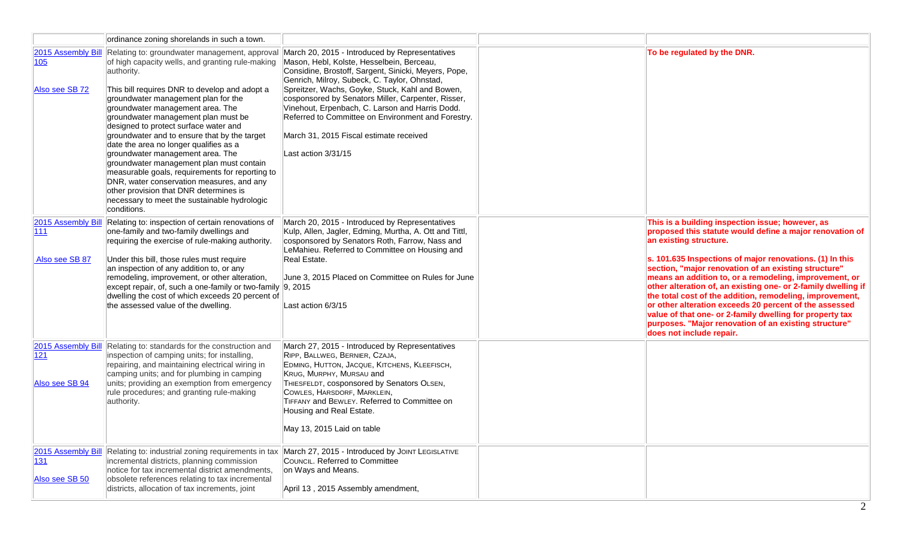|                                              | ordinance zoning shorelands in such a town.                                                                                                                                                                                                                                                                                                                                                                                                                                                                                                                                                                                                                                                                    |                                                                                                                                                                                                                                                                                                                                                                                                                                                                                         |                                                                                                                                                                                                                                                                                                                                                                                                                                                                                                                                                                                                                                                              |
|----------------------------------------------|----------------------------------------------------------------------------------------------------------------------------------------------------------------------------------------------------------------------------------------------------------------------------------------------------------------------------------------------------------------------------------------------------------------------------------------------------------------------------------------------------------------------------------------------------------------------------------------------------------------------------------------------------------------------------------------------------------------|-----------------------------------------------------------------------------------------------------------------------------------------------------------------------------------------------------------------------------------------------------------------------------------------------------------------------------------------------------------------------------------------------------------------------------------------------------------------------------------------|--------------------------------------------------------------------------------------------------------------------------------------------------------------------------------------------------------------------------------------------------------------------------------------------------------------------------------------------------------------------------------------------------------------------------------------------------------------------------------------------------------------------------------------------------------------------------------------------------------------------------------------------------------------|
| 2015 Assembly Bill<br>105<br>Also see SB 72  | Relating to: groundwater management, approval<br>of high capacity wells, and granting rule-making<br>authority.<br>This bill requires DNR to develop and adopt a<br>groundwater management plan for the<br>groundwater management area. The<br>groundwater management plan must be<br>designed to protect surface water and<br>groundwater and to ensure that by the target<br>date the area no longer qualifies as a<br>groundwater management area. The<br>groundwater management plan must contain<br>measurable goals, requirements for reporting to<br>DNR, water conservation measures, and any<br>other provision that DNR determines is<br>necessary to meet the sustainable hydrologic<br>conditions. | March 20, 2015 - Introduced by Representatives<br>Mason, Hebl, Kolste, Hesselbein, Berceau,<br>Considine, Brostoff, Sargent, Sinicki, Meyers, Pope,<br>Genrich, Milroy, Subeck, C. Taylor, Ohnstad,<br>Spreitzer, Wachs, Goyke, Stuck, Kahl and Bowen,<br>cosponsored by Senators Miller, Carpenter, Risser,<br>Vinehout, Erpenbach, C. Larson and Harris Dodd.<br>Referred to Committee on Environment and Forestry.<br>March 31, 2015 Fiscal estimate received<br>Last action 3/31/15 | To be regulated by the DNR.                                                                                                                                                                                                                                                                                                                                                                                                                                                                                                                                                                                                                                  |
| 2015 Assembly Bill<br> 111<br>Also see SB 87 | Relating to: inspection of certain renovations of<br>one-family and two-family dwellings and<br>requiring the exercise of rule-making authority.<br>Under this bill, those rules must require<br>an inspection of any addition to, or any<br>remodeling, improvement, or other alteration,<br>except repair, of, such a one-family or two-family 9, 2015<br>dwelling the cost of which exceeds 20 percent of<br>the assessed value of the dwelling.                                                                                                                                                                                                                                                            | March 20, 2015 - Introduced by Representatives<br>Kulp, Allen, Jagler, Edming, Murtha, A. Ott and Tittl,<br>cosponsored by Senators Roth, Farrow, Nass and<br>LeMahieu. Referred to Committee on Housing and<br>Real Estate.<br>June 3, 2015 Placed on Committee on Rules for June<br>Last action 6/3/15                                                                                                                                                                                | This is a building inspection issue; however, as<br>proposed this statute would define a major renovation of<br>an existing structure.<br>s. 101.635 Inspections of major renovations. (1) In this<br>section, "major renovation of an existing structure"<br>means an addition to, or a remodeling, improvement, or<br>other alteration of, an existing one- or 2-family dwelling if<br>the total cost of the addition, remodeling, improvement,<br>or other alteration exceeds 20 percent of the assessed<br>value of that one- or 2-family dwelling for property tax<br>purposes. "Major renovation of an existing structure"<br>does not include repair. |
| 121<br>Also see SB 94                        | 2015 Assembly Bill Relating to: standards for the construction and<br>inspection of camping units; for installing,<br>repairing, and maintaining electrical wiring in<br>camping units; and for plumbing in camping<br>units; providing an exemption from emergency<br>rule procedures; and granting rule-making<br>authority.                                                                                                                                                                                                                                                                                                                                                                                 | March 27, 2015 - Introduced by Representatives<br>RIPP, BALLWEG, BERNIER, CZAJA,<br>EDMING, HUTTON, JACQUE, KITCHENS, KLEEFISCH,<br>KRUG, MURPHY, MURSAU and<br>THIESFELDT, cosponsored by Senators OLSEN,<br>COWLES, HARSDORF, MARKLEIN,<br>TIFFANY and BEWLEY. Referred to Committee on<br>Housing and Real Estate.<br>May 13, 2015 Laid on table                                                                                                                                     |                                                                                                                                                                                                                                                                                                                                                                                                                                                                                                                                                                                                                                                              |
| 2015 Assembly Bill<br>131<br>Also see SB 50  | Relating to: industrial zoning requirements in tax<br>incremental districts, planning commission<br>notice for tax incremental district amendments,<br>obsolete references relating to tax incremental<br>districts, allocation of tax increments, joint                                                                                                                                                                                                                                                                                                                                                                                                                                                       | March 27, 2015 - Introduced by JOINT LEGISLATIVE<br>COUNCIL. Referred to Committee<br>on Ways and Means.<br>April 13, 2015 Assembly amendment,                                                                                                                                                                                                                                                                                                                                          |                                                                                                                                                                                                                                                                                                                                                                                                                                                                                                                                                                                                                                                              |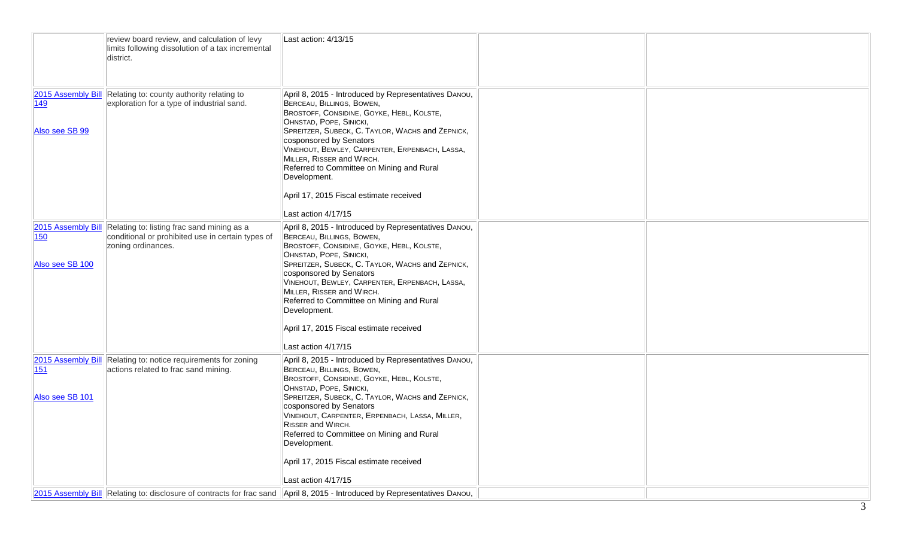|                        | review board review, and calculation of levy<br>limits following dissolution of a tax incremental<br>district.                           | Last action: 4/13/15                                                                                                                                                                                                                                                                                                                                                                                                                                   |  |
|------------------------|------------------------------------------------------------------------------------------------------------------------------------------|--------------------------------------------------------------------------------------------------------------------------------------------------------------------------------------------------------------------------------------------------------------------------------------------------------------------------------------------------------------------------------------------------------------------------------------------------------|--|
| 149<br>Also see SB 99  | 2015 Assembly Bill Relating to: county authority relating to<br>exploration for a type of industrial sand.                               | April 8, 2015 - Introduced by Representatives DANOU,<br>BERCEAU, BILLINGS, BOWEN,<br>BROSTOFF, CONSIDINE, GOYKE, HEBL, KOLSTE,<br>OHNSTAD, POPE, SINICKI,<br>SPREITZER, SUBECK, C. TAYLOR, WACHS and ZEPNICK,<br>cosponsored by Senators<br>VINEHOUT, BEWLEY, CARPENTER, ERPENBACH, LASSA,<br>MILLER, RISSER and WIRCH.<br>Referred to Committee on Mining and Rural<br>Development.<br>April 17, 2015 Fiscal estimate received<br>Last action 4/17/15 |  |
| 150<br>Also see SB 100 | 2015 Assembly Bill Relating to: listing frac sand mining as a<br>conditional or prohibited use in certain types of<br>zoning ordinances. | April 8, 2015 - Introduced by Representatives DANOU,<br>BERCEAU, BILLINGS, BOWEN,<br>BROSTOFF, CONSIDINE, GOYKE, HEBL, KOLSTE,<br>OHNSTAD, POPE, SINICKI,<br>SPREITZER, SUBECK, C. TAYLOR, WACHS and ZEPNICK,<br>cosponsored by Senators<br>VINEHOUT, BEWLEY, CARPENTER, ERPENBACH, LASSA,<br>MILLER, RISSER and WIRCH.<br>Referred to Committee on Mining and Rural<br>Development.<br>April 17, 2015 Fiscal estimate received<br>Last action 4/17/15 |  |
| 151<br>Also see SB 101 | 2015 Assembly Bill Relating to: notice requirements for zoning<br>actions related to frac sand mining.                                   | April 8, 2015 - Introduced by Representatives DANOU,<br>BERCEAU, BILLINGS, BOWEN,<br>BROSTOFF, CONSIDINE, GOYKE, HEBL, KOLSTE,<br>OHNSTAD, POPE, SINICKI,<br>SPREITZER, SUBECK, C. TAYLOR, WACHS and ZEPNICK,<br>cosponsored by Senators<br>VINEHOUT, CARPENTER, ERPENBACH, LASSA, MILLER,<br><b>RISSER and WIRCH.</b><br>Referred to Committee on Mining and Rural<br>Development.<br>April 17, 2015 Fiscal estimate received<br>Last action 4/17/15  |  |
|                        |                                                                                                                                          | 2015 Assembly Bill Relating to: disclosure of contracts for frac sand April 8, 2015 - Introduced by Representatives DANOU,                                                                                                                                                                                                                                                                                                                             |  |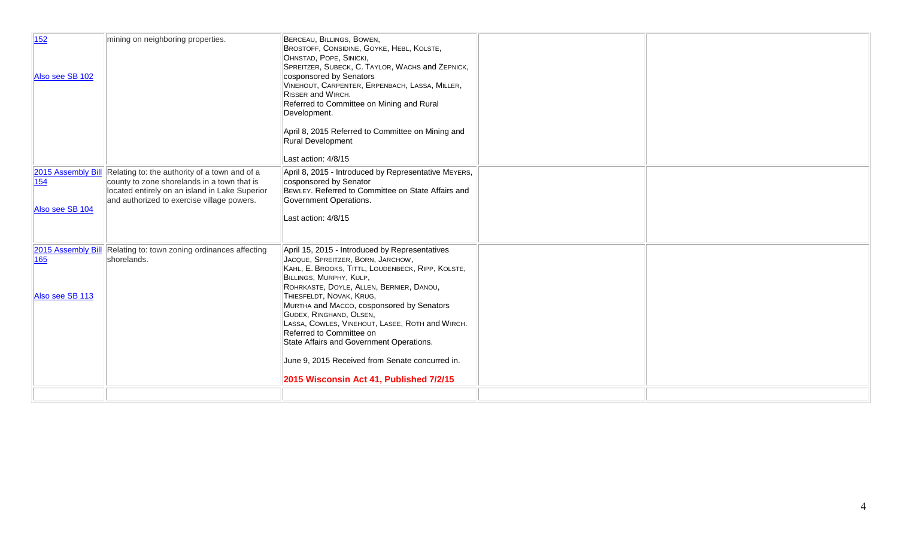| 152<br>Also see SB 102 | mining on neighboring properties.                                                                                                                                                                               | BERCEAU, BILLINGS, BOWEN,<br>BROSTOFF, CONSIDINE, GOYKE, HEBL, KOLSTE,<br>OHNSTAD, POPE, SINICKI,<br>SPREITZER, SUBECK, C. TAYLOR, WACHS and ZEPNICK,<br>cosponsored by Senators<br>VINEHOUT, CARPENTER, ERPENBACH, LASSA, MILLER,<br>RISSER and WIRCH.<br>Referred to Committee on Mining and Rural<br>Development.<br>April 8, 2015 Referred to Committee on Mining and<br><b>Rural Development</b><br>Last action: 4/8/15                                                                                                                 |  |
|------------------------|-----------------------------------------------------------------------------------------------------------------------------------------------------------------------------------------------------------------|----------------------------------------------------------------------------------------------------------------------------------------------------------------------------------------------------------------------------------------------------------------------------------------------------------------------------------------------------------------------------------------------------------------------------------------------------------------------------------------------------------------------------------------------|--|
| 154<br>Also see SB 104 | 2015 Assembly Bill Relating to: the authority of a town and of a<br>county to zone shorelands in a town that is<br>located entirely on an island in Lake Superior<br>and authorized to exercise village powers. | April 8, 2015 - Introduced by Representative MEYERS,<br>cosponsored by Senator<br>BEWLEY. Referred to Committee on State Affairs and<br>Government Operations.<br>Last action: 4/8/15                                                                                                                                                                                                                                                                                                                                                        |  |
| 165<br>Also see SB 113 | 2015 Assembly Bill Relating to: town zoning ordinances affecting<br>shorelands.                                                                                                                                 | April 15, 2015 - Introduced by Representatives<br>JACQUE, SPREITZER, BORN, JARCHOW,<br>KAHL, E. BROOKS, TITTL, LOUDENBECK, RIPP, KOLSTE,<br>BILLINGS, MURPHY, KULP,<br>ROHRKASTE, DOYLE, ALLEN, BERNIER, DANOU,<br>THIESFELDT, NOVAK, KRUG,<br>MURTHA and MACCO, cosponsored by Senators<br>GUDEX, RINGHAND, OLSEN,<br>LASSA, COWLES, VINEHOUT, LASEE, ROTH and WIRCH.<br>Referred to Committee on<br>State Affairs and Government Operations.<br>June 9, 2015 Received from Senate concurred in.<br>2015 Wisconsin Act 41, Published 7/2/15 |  |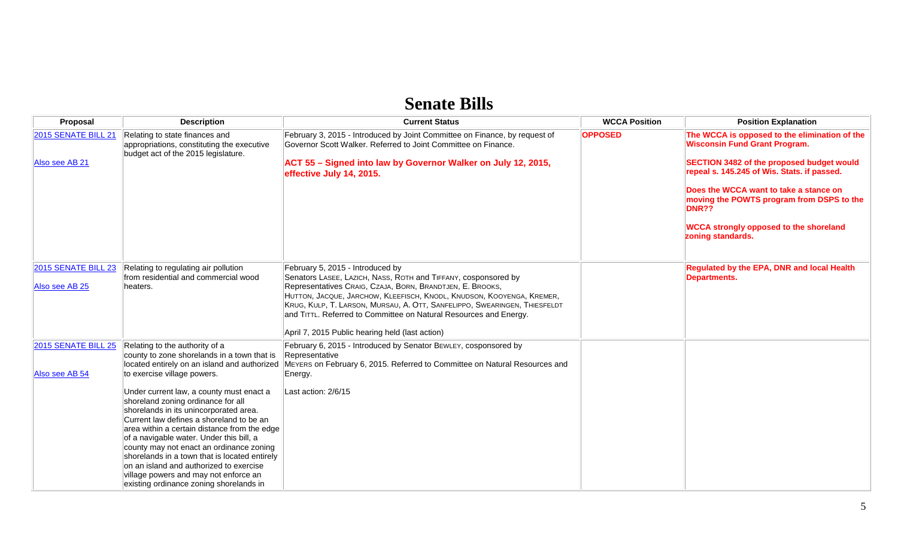### **Senate Bills**

| <b>Proposal</b>                              | <b>Description</b>                                                                                                                                                                                                                                                                                                                                                                                                                                                                           | <b>Current Status</b>                                                                                                                                                                                                                                                                                                                                                                                                                         | <b>WCCA Position</b> | <b>Position Explanation</b>                                                                                                                                                                                                                                                                                                                             |
|----------------------------------------------|----------------------------------------------------------------------------------------------------------------------------------------------------------------------------------------------------------------------------------------------------------------------------------------------------------------------------------------------------------------------------------------------------------------------------------------------------------------------------------------------|-----------------------------------------------------------------------------------------------------------------------------------------------------------------------------------------------------------------------------------------------------------------------------------------------------------------------------------------------------------------------------------------------------------------------------------------------|----------------------|---------------------------------------------------------------------------------------------------------------------------------------------------------------------------------------------------------------------------------------------------------------------------------------------------------------------------------------------------------|
| 2015 SENATE BILL 21<br>Also see AB 21        | Relating to state finances and<br>appropriations, constituting the executive<br>budget act of the 2015 legislature.                                                                                                                                                                                                                                                                                                                                                                          | February 3, 2015 - Introduced by Joint Committee on Finance, by request of<br>Governor Scott Walker. Referred to Joint Committee on Finance.<br>ACT 55 - Signed into law by Governor Walker on July 12, 2015,<br>effective July 14, 2015.                                                                                                                                                                                                     | <b>OPPOSED</b>       | The WCCA is opposed to the elimination of the<br><b>Wisconsin Fund Grant Program.</b><br>SECTION 3482 of the proposed budget would<br>repeal s. 145.245 of Wis. Stats. if passed.<br>Does the WCCA want to take a stance on<br>moving the POWTS program from DSPS to the<br>DNR??<br><b>WCCA strongly opposed to the shoreland</b><br>zoning standards. |
| <b>2015 SENATE BILL 23</b><br>Also see AB 25 | Relating to regulating air pollution<br>from residential and commercial wood<br>heaters.                                                                                                                                                                                                                                                                                                                                                                                                     | February 5, 2015 - Introduced by<br>Senators LASEE, LAZICH, NASS, ROTH and TIFFANY, cosponsored by<br>Representatives CRAIG, CZAJA, BORN, BRANDTJEN, E. BROOKS,<br>HUTTON, JACQUE, JARCHOW, KLEEFISCH, KNODL, KNUDSON, KOOYENGA, KREMER,<br>KRUG, KULP, T. LARSON, MURSAU, A. OTT, SANFELIPPO, SWEARINGEN, THIESFELDT<br>and TITTL. Referred to Committee on Natural Resources and Energy.<br>April 7, 2015 Public hearing held (last action) |                      | Regulated by the EPA, DNR and local Health<br><b>Departments.</b>                                                                                                                                                                                                                                                                                       |
| 2015 SENATE BILL 25<br>Also see AB 54        | Relating to the authority of a<br>county to zone shorelands in a town that is<br>located entirely on an island and authorized<br>to exercise village powers.                                                                                                                                                                                                                                                                                                                                 | February 6, 2015 - Introduced by Senator BEWLEY, cosponsored by<br>Representative<br>MEYERS on February 6, 2015. Referred to Committee on Natural Resources and<br>Energy.                                                                                                                                                                                                                                                                    |                      |                                                                                                                                                                                                                                                                                                                                                         |
|                                              | Under current law, a county must enact a<br>shoreland zoning ordinance for all<br>shorelands in its unincorporated area.<br>Current law defines a shoreland to be an<br>area within a certain distance from the edge<br>of a navigable water. Under this bill, a<br>county may not enact an ordinance zoning<br>shorelands in a town that is located entirely<br>on an island and authorized to exercise<br>village powers and may not enforce an<br>existing ordinance zoning shorelands in | Last action: 2/6/15                                                                                                                                                                                                                                                                                                                                                                                                                           |                      |                                                                                                                                                                                                                                                                                                                                                         |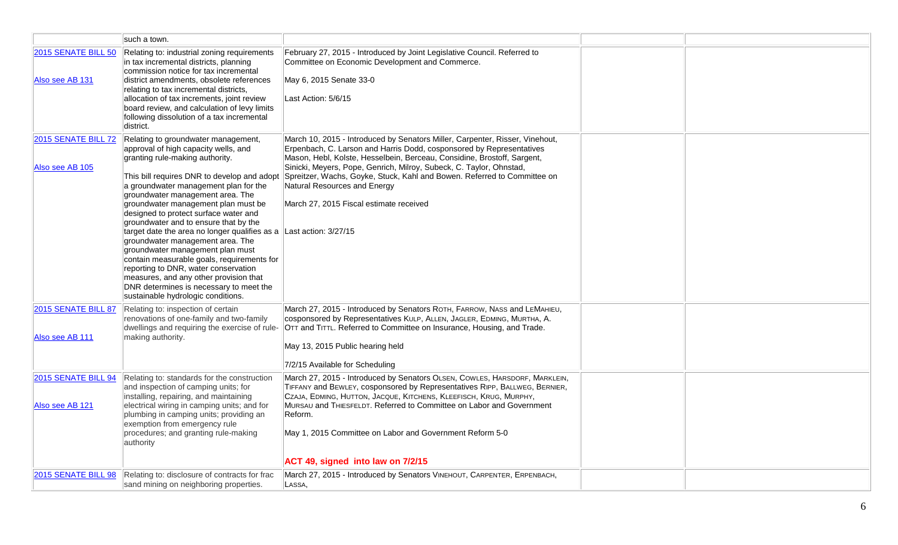|                                               | such a town.                                                                                                                                                                                                                                                                                                                                                                                                                                                                                                                                                                                                                                                                                                                                   |                                                                                                                                                                                                                                                                                                                                                                                                                                                               |  |
|-----------------------------------------------|------------------------------------------------------------------------------------------------------------------------------------------------------------------------------------------------------------------------------------------------------------------------------------------------------------------------------------------------------------------------------------------------------------------------------------------------------------------------------------------------------------------------------------------------------------------------------------------------------------------------------------------------------------------------------------------------------------------------------------------------|---------------------------------------------------------------------------------------------------------------------------------------------------------------------------------------------------------------------------------------------------------------------------------------------------------------------------------------------------------------------------------------------------------------------------------------------------------------|--|
| <b>2015 SENATE BILL 50</b><br>Also see AB 131 | Relating to: industrial zoning requirements<br>in tax incremental districts, planning<br>commission notice for tax incremental<br>district amendments, obsolete references<br>relating to tax incremental districts,<br>allocation of tax increments, joint review<br>board review, and calculation of levy limits<br>following dissolution of a tax incremental<br>district.                                                                                                                                                                                                                                                                                                                                                                  | February 27, 2015 - Introduced by Joint Legislative Council. Referred to<br>Committee on Economic Development and Commerce.<br>May 6, 2015 Senate 33-0<br>Last Action: 5/6/15                                                                                                                                                                                                                                                                                 |  |
| 2015 SENATE BILL 72<br>Also see AB 105        | Relating to groundwater management,<br>approval of high capacity wells, and<br>granting rule-making authority.<br>This bill requires DNR to develop and adopt<br>a groundwater management plan for the<br>groundwater management area. The<br>groundwater management plan must be<br>designed to protect surface water and<br>groundwater and to ensure that by the<br>target date the area no longer qualifies as a $\parallel$ Last action: 3/27/15<br>groundwater management area. The<br>groundwater management plan must<br>contain measurable goals, requirements for<br>reporting to DNR, water conservation<br>measures, and any other provision that<br>DNR determines is necessary to meet the<br>sustainable hydrologic conditions. | March 10, 2015 - Introduced by Senators Miller, Carpenter, Risser, Vinehout,<br>Erpenbach, C. Larson and Harris Dodd, cosponsored by Representatives<br>Mason, Hebl, Kolste, Hesselbein, Berceau, Considine, Brostoff, Sargent,<br>Sinicki, Meyers, Pope, Genrich, Milroy, Subeck, C. Taylor, Ohnstad,<br>Spreitzer, Wachs, Goyke, Stuck, Kahl and Bowen. Referred to Committee on<br>Natural Resources and Energy<br>March 27, 2015 Fiscal estimate received |  |
| 2015 SENATE BILL 87<br>Also see AB 111        | Relating to: inspection of certain<br>renovations of one-family and two-family<br>dwellings and requiring the exercise of rule-<br>making authority.                                                                                                                                                                                                                                                                                                                                                                                                                                                                                                                                                                                           | March 27, 2015 - Introduced by Senators ROTH, FARROW, NASS and LEMAHIEU,<br>cosponsored by Representatives KULP, ALLEN, JAGLER, EDMING, MURTHA, A.<br>OTT and TITTL. Referred to Committee on Insurance, Housing, and Trade.<br>May 13, 2015 Public hearing held<br>7/2/15 Available for Scheduling                                                                                                                                                           |  |
| 2015 SENATE BILL 94<br>Also see AB 121        | Relating to: standards for the construction<br>and inspection of camping units; for<br>installing, repairing, and maintaining<br>electrical wiring in camping units; and for<br>plumbing in camping units; providing an<br>exemption from emergency rule<br>procedures; and granting rule-making<br>authority                                                                                                                                                                                                                                                                                                                                                                                                                                  | March 27, 2015 - Introduced by Senators OLSEN, COWLES, HARSDORF, MARKLEIN,<br>TIFFANY and BEWLEY, cosponsored by Representatives RIPP, BALLWEG, BERNIER,<br>CZAJA, EDMING, HUTTON, JACQUE, KITCHENS, KLEEFISCH, KRUG, MURPHY,<br>MURSAU and THIESFELDT. Referred to Committee on Labor and Government<br>Reform.<br>May 1, 2015 Committee on Labor and Government Reform 5-0<br>ACT 49, signed into law on 7/2/15                                             |  |
|                                               | 2015 SENATE BILL 98 Relating to: disclosure of contracts for frac<br>sand mining on neighboring properties.                                                                                                                                                                                                                                                                                                                                                                                                                                                                                                                                                                                                                                    | March 27, 2015 - Introduced by Senators VINEHOUT, CARPENTER, ERPENBACH,<br>Lassa,                                                                                                                                                                                                                                                                                                                                                                             |  |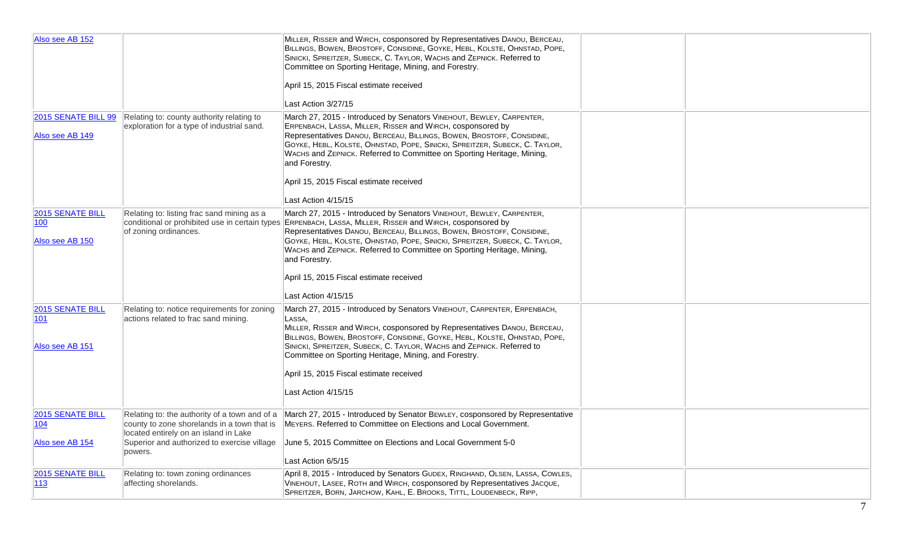| Also see AB 152                             |                                                                                                                       | MILLER, RISSER and WIRCH, cosponsored by Representatives DANOU, BERCEAU,<br>BILLINGS, BOWEN, BROSTOFF, CONSIDINE, GOYKE, HEBL, KOLSTE, OHNSTAD, POPE,<br>SINICKI, SPREITZER, SUBECK, C. TAYLOR, WACHS and ZEPNICK. Referred to<br>Committee on Sporting Heritage, Mining, and Forestry.<br>April 15, 2015 Fiscal estimate received<br>Last Action 3/27/15                                                               |  |
|---------------------------------------------|-----------------------------------------------------------------------------------------------------------------------|-------------------------------------------------------------------------------------------------------------------------------------------------------------------------------------------------------------------------------------------------------------------------------------------------------------------------------------------------------------------------------------------------------------------------|--|
|                                             |                                                                                                                       |                                                                                                                                                                                                                                                                                                                                                                                                                         |  |
| 2015 SENATE BILL 99<br>Also see AB 149      | Relating to: county authority relating to<br>exploration for a type of industrial sand.                               | March 27, 2015 - Introduced by Senators VINEHOUT, BEWLEY, CARPENTER,<br>ERPENBACH, LASSA, MILLER, RISSER and WIRCH, cosponsored by<br>Representatives DANOU, BERCEAU, BILLINGS, BOWEN, BROSTOFF, CONSIDINE,<br>GOYKE, HEBL, KOLSTE, OHNSTAD, POPE, SINICKI, SPREITZER, SUBECK, C. TAYLOR,<br>WACHS and ZEPNICK. Referred to Committee on Sporting Heritage, Mining,<br>and Forestry.                                    |  |
|                                             |                                                                                                                       | April 15, 2015 Fiscal estimate received                                                                                                                                                                                                                                                                                                                                                                                 |  |
|                                             |                                                                                                                       | Last Action 4/15/15                                                                                                                                                                                                                                                                                                                                                                                                     |  |
| 2015 SENATE BILL<br>100<br>Also see AB 150  | Relating to: listing frac sand mining as a<br>conditional or prohibited use in certain types<br>of zoning ordinances. | March 27, 2015 - Introduced by Senators VINEHOUT, BEWLEY, CARPENTER,<br>ERPENBACH, LASSA, MILLER, RISSER and WIRCH, cosponsored by<br>Representatives DANOU, BERCEAU, BILLINGS, BOWEN, BROSTOFF, CONSIDINE,<br>GOYKE, HEBL, KOLSTE, OHNSTAD, POPE, SINICKI, SPREITZER, SUBECK, C. TAYLOR,<br>WACHS and ZEPNICK. Referred to Committee on Sporting Heritage, Mining,<br>and Forestry.                                    |  |
|                                             |                                                                                                                       | April 15, 2015 Fiscal estimate received                                                                                                                                                                                                                                                                                                                                                                                 |  |
|                                             |                                                                                                                       | Last Action 4/15/15                                                                                                                                                                                                                                                                                                                                                                                                     |  |
| 2015 SENATE BILL<br> 101<br>Also see AB 151 | Relating to: notice requirements for zoning<br>actions related to frac sand mining.                                   | March 27, 2015 - Introduced by Senators VINEHOUT, CARPENTER, ERPENBACH,<br>LASSA,<br>MILLER, RISSER and WIRCH, cosponsored by Representatives DANOU, BERCEAU,<br>BILLINGS, BOWEN, BROSTOFF, CONSIDINE, GOYKE, HEBL, KOLSTE, OHNSTAD, POPE,<br>SINICKI, SPREITZER, SUBECK, C. TAYLOR, WACHS and ZEPNICK. Referred to<br>Committee on Sporting Heritage, Mining, and Forestry.<br>April 15, 2015 Fiscal estimate received |  |
|                                             |                                                                                                                       | Last Action 4/15/15                                                                                                                                                                                                                                                                                                                                                                                                     |  |
| <b>2015 SENATE BILL</b><br> 104             | located entirely on an island in Lake                                                                                 | Relating to: the authority of a town and of a March 27, 2015 - Introduced by Senator BEWLEY, cosponsored by Representative<br>county to zone shorelands in a town that is   MEYERS. Referred to Committee on Elections and Local Government.                                                                                                                                                                            |  |
| Also see AB 154                             | Superior and authorized to exercise village<br>powers.                                                                | June 5, 2015 Committee on Elections and Local Government 5-0<br>Last Action 6/5/15                                                                                                                                                                                                                                                                                                                                      |  |
| 2015 SENATE BILL                            | Relating to: town zoning ordinances                                                                                   | April 8, 2015 - Introduced by Senators GUDEX, RINGHAND, OLSEN, LASSA, COWLES,                                                                                                                                                                                                                                                                                                                                           |  |
| $ 113\rangle$                               | affecting shorelands.                                                                                                 | VINEHOUT, LASEE, ROTH and WIRCH, cosponsored by Representatives JACQUE,<br>SPREITZER, BORN, JARCHOW, KAHL, E. BROOKS, TITTL, LOUDENBECK, RIPP,                                                                                                                                                                                                                                                                          |  |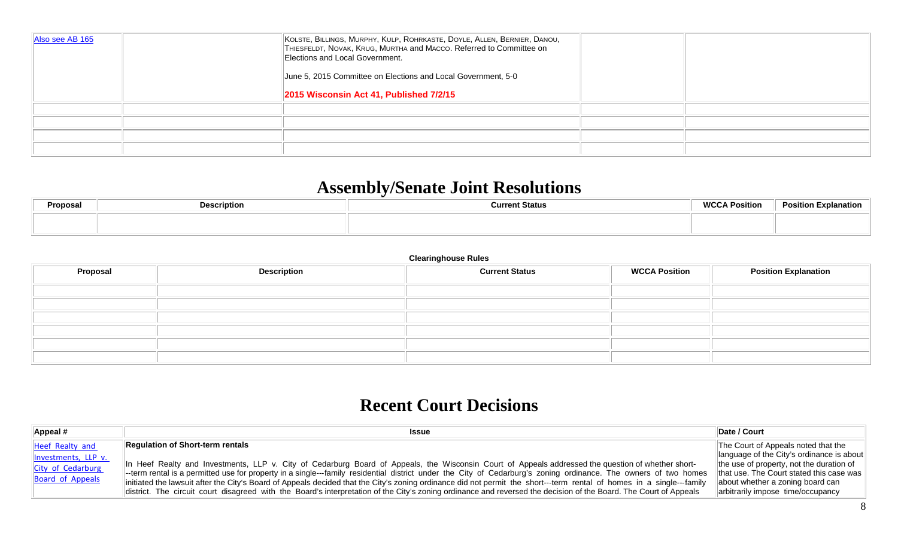| Also see AB 165 | KOLSTE, BILLINGS, MURPHY, KULP, ROHRKASTE, DOYLE, ALLEN, BERNIER, DANOU,<br>THIESFELDT, NOVAK, KRUG, MURTHA and MACCO. Referred to Committee on<br>Elections and Local Government.<br>June 5, 2015 Committee on Elections and Local Government, 5-0<br>2015 Wisconsin Act 41, Published 7/2/15 |  |
|-----------------|------------------------------------------------------------------------------------------------------------------------------------------------------------------------------------------------------------------------------------------------------------------------------------------------|--|
|                 |                                                                                                                                                                                                                                                                                                |  |
|                 |                                                                                                                                                                                                                                                                                                |  |
|                 |                                                                                                                                                                                                                                                                                                |  |
|                 |                                                                                                                                                                                                                                                                                                |  |

## **Assembly/Senate Joint Resolutions**

| Proposal | <b>Description</b> | <b>Current Status</b> | <b>WCCA Position</b> | <b>Position Explanation</b> |
|----------|--------------------|-----------------------|----------------------|-----------------------------|
|          |                    |                       |                      |                             |
|          |                    |                       |                      |                             |

#### **Clearinghouse Rules**

| <b>Proposal</b> | <b>Description</b> | <b>Current Status</b> | <b>WCCA Position</b> | <b>Position Explanation</b> |
|-----------------|--------------------|-----------------------|----------------------|-----------------------------|
|                 |                    |                       |                      |                             |
|                 |                    |                       |                      |                             |
|                 |                    |                       |                      |                             |
|                 |                    |                       |                      |                             |
|                 |                    |                       |                      |                             |
|                 |                    |                       |                      |                             |

## **Recent Court Decisions**

| Appeal #                                                                        | <b>Issue</b>                                                                                                                                                                                                                                                                                                                                                                                                                                                                                                                                                                                                                                                                                          | Date / Court                                                                                                                                                                                                                                           |
|---------------------------------------------------------------------------------|-------------------------------------------------------------------------------------------------------------------------------------------------------------------------------------------------------------------------------------------------------------------------------------------------------------------------------------------------------------------------------------------------------------------------------------------------------------------------------------------------------------------------------------------------------------------------------------------------------------------------------------------------------------------------------------------------------|--------------------------------------------------------------------------------------------------------------------------------------------------------------------------------------------------------------------------------------------------------|
| Heef Realty and<br>Investments, LLP v.<br>City of Cedarburg<br>Board of Appeals | Requlation of Short-term rentals<br>1 Heef Realty and Investments, LLP v. City of Cedarburg Board of Appeals, the Wisconsin Court of Appeals addressed the question of whether short-<br>-term rental is a permitted use for property in a single---family residential district under the City of Cedarburg's zoning ordinance. The owners of two homes<br>initiated the lawsuit after the City's Board of Appeals decided that the City's zoning ordinance did not permit the short---term rental of homes in a single---family<br>district. The circuit court disagreed with the Board's interpretation of the City's zoning ordinance and reversed the decision of the Board. The Court of Appeals | The Court of Appeals noted that the<br>language of the City's ordinance is about<br>the use of property, not the duration of<br>  that use. The Court stated this case was   <br>about whether a zoning board can<br>arbitrarily impose time/occupancy |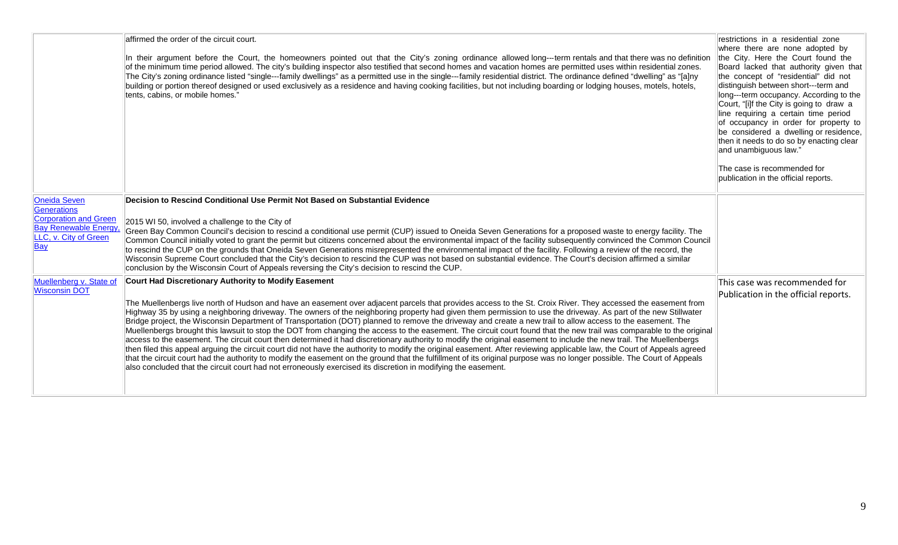|                                                                                                                                                                                                     | affirmed the order of the circuit court.<br>In their argument before the Court, the homeowners pointed out that the City's zoning ordinance allowed long---term rentals and that there was no definition<br>of the minimum time period allowed. The city's building inspector also testified that second homes and vacation homes are permitted uses within residential zones.<br>The City's zoning ordinance listed "single---family dwellings" as a permitted use in the single---family residential district. The ordinance defined "dwelling" as "[a]ny<br>building or portion thereof designed or used exclusively as a residence and having cooking facilities, but not including boarding or lodging houses, motels, hotels,<br>tents, cabins, or mobile homes."                                                                                                                                                                                                                                                                                                                                                                                                                                                                                                                                                                                                                                                                                                                                                                                                                                                                                                                                                                                                                                                                                                                                                                                                                                                                                                                                                                                                                                                                                                                       | restrictions in a residential zone<br>where there are none adopted by<br>the City. Here the Court found the<br>Board lacked that authority given that<br>the concept of "residential" did not<br>distinguish between short---term and<br>long---term occupancy. According to the<br>Court, "[i]f the City is going to draw a<br>line requiring a certain time period<br>of occupancy in order for property to<br>be considered a dwelling or residence,<br>then it needs to do so by enacting clear<br>and unambiguous law."<br>The case is recommended for<br>publication in the official reports. |
|-----------------------------------------------------------------------------------------------------------------------------------------------------------------------------------------------------|-----------------------------------------------------------------------------------------------------------------------------------------------------------------------------------------------------------------------------------------------------------------------------------------------------------------------------------------------------------------------------------------------------------------------------------------------------------------------------------------------------------------------------------------------------------------------------------------------------------------------------------------------------------------------------------------------------------------------------------------------------------------------------------------------------------------------------------------------------------------------------------------------------------------------------------------------------------------------------------------------------------------------------------------------------------------------------------------------------------------------------------------------------------------------------------------------------------------------------------------------------------------------------------------------------------------------------------------------------------------------------------------------------------------------------------------------------------------------------------------------------------------------------------------------------------------------------------------------------------------------------------------------------------------------------------------------------------------------------------------------------------------------------------------------------------------------------------------------------------------------------------------------------------------------------------------------------------------------------------------------------------------------------------------------------------------------------------------------------------------------------------------------------------------------------------------------------------------------------------------------------------------------------------------------|-----------------------------------------------------------------------------------------------------------------------------------------------------------------------------------------------------------------------------------------------------------------------------------------------------------------------------------------------------------------------------------------------------------------------------------------------------------------------------------------------------------------------------------------------------------------------------------------------------|
| <b>Oneida Seven</b><br><b>Generations</b><br><b>Corporation and Green</b><br><b>Bay Renewable Energy,</b><br>LLC, v. City of Green<br><b>Bay</b><br>Muellenberg v. State of<br><b>Wisconsin DOT</b> | Decision to Rescind Conditional Use Permit Not Based on Substantial Evidence<br>2015 WI 50, involved a challenge to the City of<br>Green Bay Common Council's decision to rescind a conditional use permit (CUP) issued to Oneida Seven Generations for a proposed waste to energy facility. The<br>Common Council initially voted to grant the permit but citizens concerned about the environmental impact of the facility subsequently convinced the Common Council<br>to rescind the CUP on the grounds that Oneida Seven Generations misrepresented the environmental impact of the facility. Following a review of the record, the<br>Wisconsin Supreme Court concluded that the City's decision to rescind the CUP was not based on substantial evidence. The Court's decision affirmed a similar<br>conclusion by the Wisconsin Court of Appeals reversing the City's decision to rescind the CUP.<br>Court Had Discretionary Authority to Modify Easement<br>The Muellenbergs live north of Hudson and have an easement over adjacent parcels that provides access to the St. Croix River. They accessed the easement from<br>Highway 35 by using a neighboring driveway. The owners of the neighboring property had given them permission to use the driveway. As part of the new Stillwater<br>Bridge project, the Wisconsin Department of Transportation (DOT) planned to remove the driveway and create a new trail to allow access to the easement. The<br>Muellenbergs brought this lawsuit to stop the DOT from changing the access to the easement. The circuit court found that the new trail was comparable to the original<br>access to the easement. The circuit court then determined it had discretionary authority to modify the original easement to include the new trail. The Muellenbergs<br>then filed this appeal arguing the circuit court did not have the authority to modify the original easement. After reviewing applicable law, the Court of Appeals agreed<br>that the circuit court had the authority to modify the easement on the ground that the fulfillment of its original purpose was no longer possible. The Court of Appeals<br>also concluded that the circuit court had not erroneously exercised its discretion in modifying the easement. | This case was recommended for<br>Publication in the official reports.                                                                                                                                                                                                                                                                                                                                                                                                                                                                                                                               |
|                                                                                                                                                                                                     |                                                                                                                                                                                                                                                                                                                                                                                                                                                                                                                                                                                                                                                                                                                                                                                                                                                                                                                                                                                                                                                                                                                                                                                                                                                                                                                                                                                                                                                                                                                                                                                                                                                                                                                                                                                                                                                                                                                                                                                                                                                                                                                                                                                                                                                                                               |                                                                                                                                                                                                                                                                                                                                                                                                                                                                                                                                                                                                     |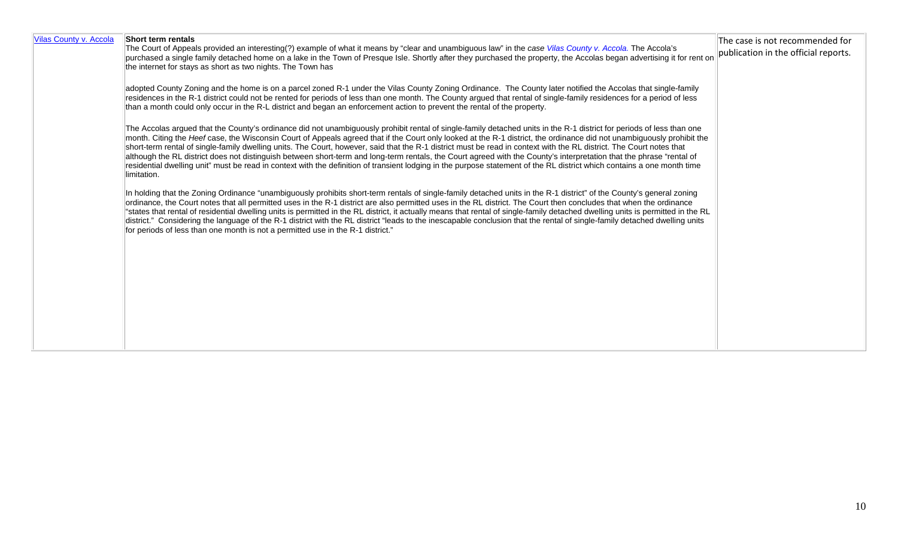| Vilas County v. Accola | Short term rentals<br>The Court of Appeals provided an interesting(?) example of what it means by "clear and unambiguous law" in the case Vilas County v. Accola. The Accola's<br>purchased a single family detached home on a lake in the Town of Presque Isle. Shortly after they purchased the property, the Accolas began advertising it for rent on<br>the internet for stays as short as two nights. The Town has                                                                                                                                                                                                                                                                                                                                                                                                                                                                   | The case is not recommended for<br>publication in the official reports. |
|------------------------|-------------------------------------------------------------------------------------------------------------------------------------------------------------------------------------------------------------------------------------------------------------------------------------------------------------------------------------------------------------------------------------------------------------------------------------------------------------------------------------------------------------------------------------------------------------------------------------------------------------------------------------------------------------------------------------------------------------------------------------------------------------------------------------------------------------------------------------------------------------------------------------------|-------------------------------------------------------------------------|
|                        | adopted County Zoning and the home is on a parcel zoned R-1 under the Vilas County Zoning Ordinance. The County later notified the Accolas that single-family<br>residences in the R-1 district could not be rented for periods of less than one month. The County argued that rental of single-family residences for a period of less<br>than a month could only occur in the R-L district and began an enforcement action to prevent the rental of the property.                                                                                                                                                                                                                                                                                                                                                                                                                        |                                                                         |
|                        | The Accolas argued that the County's ordinance did not unambiguously prohibit rental of single-family detached units in the R-1 district for periods of less than one<br>month. Citing the Heef case, the Wisconsin Court of Appeals agreed that if the Court only looked at the R-1 district, the ordinance did not unambiguously prohibit the<br>short-term rental of single-family dwelling units. The Court, however, said that the R-1 district must be read in context with the RL district. The Court notes that<br>although the RL district does not distinguish between short-term and long-term rentals, the Court agreed with the County's interpretation that the phrase "rental of<br>residential dwelling unit" must be read in context with the definition of transient lodging in the purpose statement of the RL district which contains a one month time<br>limitation. |                                                                         |
|                        | In holding that the Zoning Ordinance "unambiguously prohibits short-term rentals of single-family detached units in the R-1 district" of the County's general zoning<br>ordinance, the Court notes that all permitted uses in the R-1 district are also permitted uses in the RL district. The Court then concludes that when the ordinance<br>"states that rental of residential dwelling units is permitted in the RL district, it actually means that rental of single-family detached dwelling units is permitted in the RL<br>district." Considering the language of the R-1 district with the RL district "leads to the inescapable conclusion that the rental of single-family detached dwelling units<br>for periods of less than one month is not a permitted use in the R-1 district."                                                                                          |                                                                         |
|                        |                                                                                                                                                                                                                                                                                                                                                                                                                                                                                                                                                                                                                                                                                                                                                                                                                                                                                           |                                                                         |
|                        |                                                                                                                                                                                                                                                                                                                                                                                                                                                                                                                                                                                                                                                                                                                                                                                                                                                                                           |                                                                         |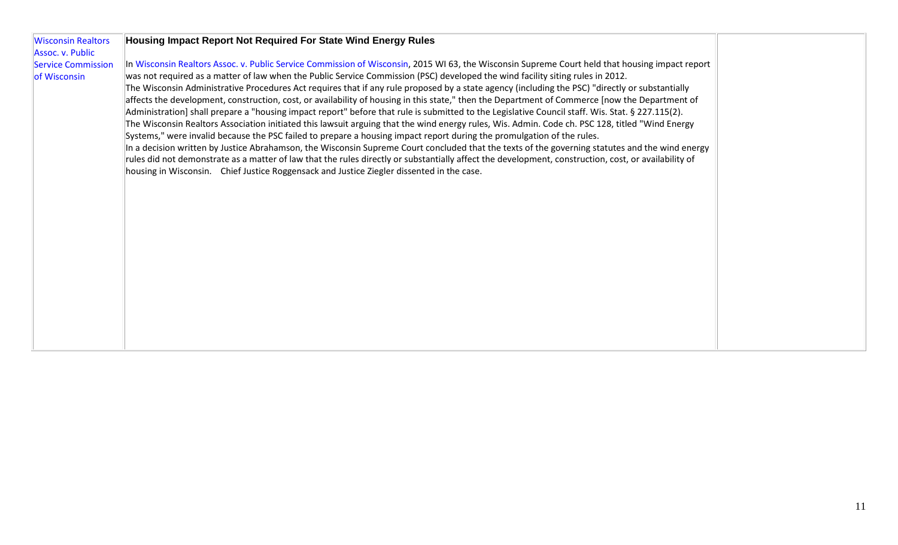| <b>Wisconsin Realtors</b> | Housing Impact Report Not Required For State Wind Energy Rules                                                                                       |  |
|---------------------------|------------------------------------------------------------------------------------------------------------------------------------------------------|--|
| Assoc. v. Public          |                                                                                                                                                      |  |
| <b>Service Commission</b> | In Wisconsin Realtors Assoc. v. Public Service Commission of Wisconsin, 2015 WI 63, the Wisconsin Supreme Court held that housing impact report      |  |
| of Wisconsin              | was not required as a matter of law when the Public Service Commission (PSC) developed the wind facility siting rules in 2012.                       |  |
|                           |                                                                                                                                                      |  |
|                           | The Wisconsin Administrative Procedures Act requires that if any rule proposed by a state agency (including the PSC) "directly or substantially      |  |
|                           | affects the development, construction, cost, or availability of housing in this state," then the Department of Commerce [now the Department of       |  |
|                           | Administration] shall prepare a "housing impact report" before that rule is submitted to the Legislative Council staff. Wis. Stat. § 227.115(2).     |  |
|                           | The Wisconsin Realtors Association initiated this lawsuit arguing that the wind energy rules, Wis. Admin. Code ch. PSC 128, titled "Wind Energy      |  |
|                           | Systems," were invalid because the PSC failed to prepare a housing impact report during the promulgation of the rules.                               |  |
|                           | In a decision written by Justice Abrahamson, the Wisconsin Supreme Court concluded that the texts of the governing statutes and the wind energy      |  |
|                           | rules did not demonstrate as a matter of law that the rules directly or substantially affect the development, construction, cost, or availability of |  |
|                           | housing in Wisconsin. Chief Justice Roggensack and Justice Ziegler dissented in the case.                                                            |  |
|                           |                                                                                                                                                      |  |
|                           |                                                                                                                                                      |  |
|                           |                                                                                                                                                      |  |
|                           |                                                                                                                                                      |  |
|                           |                                                                                                                                                      |  |
|                           |                                                                                                                                                      |  |
|                           |                                                                                                                                                      |  |
|                           |                                                                                                                                                      |  |
|                           |                                                                                                                                                      |  |
|                           |                                                                                                                                                      |  |
|                           |                                                                                                                                                      |  |
|                           |                                                                                                                                                      |  |
|                           |                                                                                                                                                      |  |
|                           |                                                                                                                                                      |  |
|                           |                                                                                                                                                      |  |
|                           |                                                                                                                                                      |  |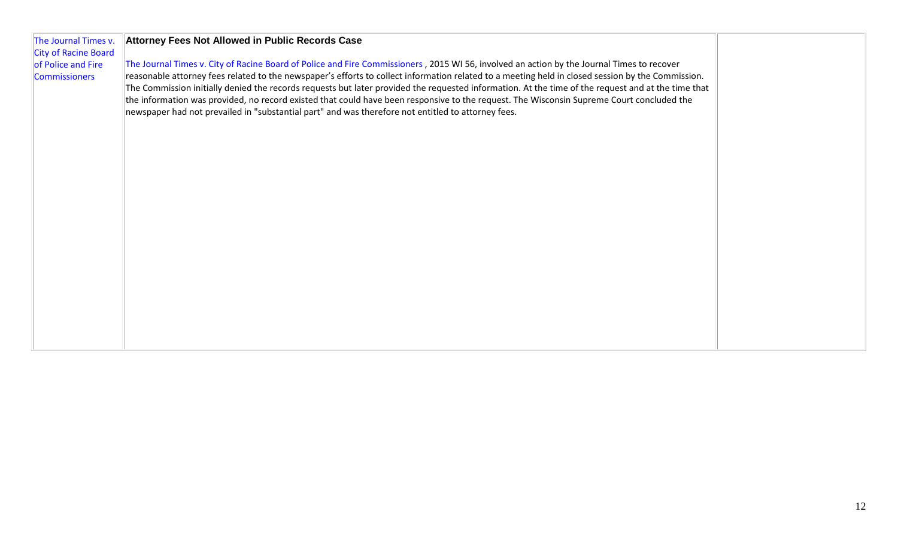| The Journal Times v.<br><b>City of Racine Board</b> | Attorney Fees Not Allowed in Public Records Case                                                                                                                                                                                                                                                                                                                                                                                                                                                                                                           |  |
|-----------------------------------------------------|------------------------------------------------------------------------------------------------------------------------------------------------------------------------------------------------------------------------------------------------------------------------------------------------------------------------------------------------------------------------------------------------------------------------------------------------------------------------------------------------------------------------------------------------------------|--|
| of Police and Fire                                  | The Journal Times v. City of Racine Board of Police and Fire Commissioners, 2015 WI 56, involved an action by the Journal Times to recover                                                                                                                                                                                                                                                                                                                                                                                                                 |  |
| <b>Commissioners</b>                                | reasonable attorney fees related to the newspaper's efforts to collect information related to a meeting held in closed session by the Commission.<br>The Commission initially denied the records requests but later provided the requested information. At the time of the request and at the time that<br>the information was provided, no record existed that could have been responsive to the request. The Wisconsin Supreme Court concluded the<br>newspaper had not prevailed in "substantial part" and was therefore not entitled to attorney fees. |  |
|                                                     |                                                                                                                                                                                                                                                                                                                                                                                                                                                                                                                                                            |  |
|                                                     |                                                                                                                                                                                                                                                                                                                                                                                                                                                                                                                                                            |  |
|                                                     |                                                                                                                                                                                                                                                                                                                                                                                                                                                                                                                                                            |  |
|                                                     |                                                                                                                                                                                                                                                                                                                                                                                                                                                                                                                                                            |  |
|                                                     |                                                                                                                                                                                                                                                                                                                                                                                                                                                                                                                                                            |  |
|                                                     |                                                                                                                                                                                                                                                                                                                                                                                                                                                                                                                                                            |  |
|                                                     |                                                                                                                                                                                                                                                                                                                                                                                                                                                                                                                                                            |  |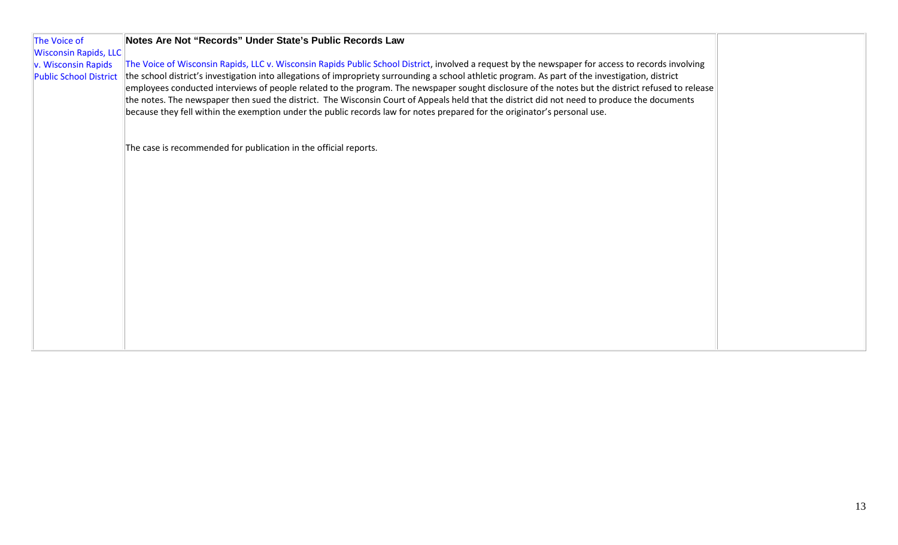| The Voice of                                         | Notes Are Not "Records" Under State's Public Records Law                                                                                                                                                                                                                                                |  |
|------------------------------------------------------|---------------------------------------------------------------------------------------------------------------------------------------------------------------------------------------------------------------------------------------------------------------------------------------------------------|--|
| <b>Wisconsin Rapids, LLC</b>                         |                                                                                                                                                                                                                                                                                                         |  |
| v. Wisconsin Rapids<br><b>Public School District</b> | The Voice of Wisconsin Rapids, LLC v. Wisconsin Rapids Public School District, involved a request by the newspaper for access to records involving<br>the school district's investigation into allegations of impropriety surrounding a school athletic program. As part of the investigation, district |  |
|                                                      | employees conducted interviews of people related to the program. The newspaper sought disclosure of the notes but the district refused to release<br>the notes. The newspaper then sued the district. The Wisconsin Court of Appeals held that the district did not need to produce the documents       |  |
|                                                      | because they fell within the exemption under the public records law for notes prepared for the originator's personal use.                                                                                                                                                                               |  |
|                                                      |                                                                                                                                                                                                                                                                                                         |  |
|                                                      | The case is recommended for publication in the official reports.                                                                                                                                                                                                                                        |  |
|                                                      |                                                                                                                                                                                                                                                                                                         |  |
|                                                      |                                                                                                                                                                                                                                                                                                         |  |
|                                                      |                                                                                                                                                                                                                                                                                                         |  |
|                                                      |                                                                                                                                                                                                                                                                                                         |  |
|                                                      |                                                                                                                                                                                                                                                                                                         |  |
|                                                      |                                                                                                                                                                                                                                                                                                         |  |
|                                                      |                                                                                                                                                                                                                                                                                                         |  |
|                                                      |                                                                                                                                                                                                                                                                                                         |  |
|                                                      |                                                                                                                                                                                                                                                                                                         |  |
|                                                      |                                                                                                                                                                                                                                                                                                         |  |